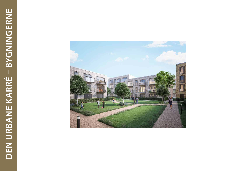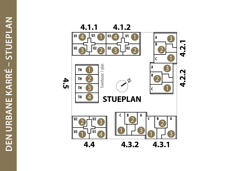

**4.5**

## **4.2.1 4.2.2**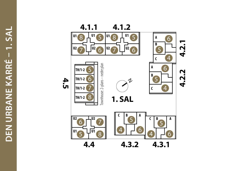DEN URBANE KARRÉ - 1. SAL **DEN URBANE KARRÉ – 1. SAL**



## **4.2.1**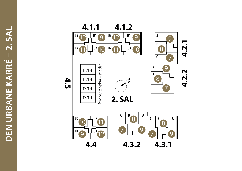DEN URBANE KARRÉ - 2. SAL **DEN URBANE KARRÉ – 2. SAL**



## **4.2.1 4.2.2**